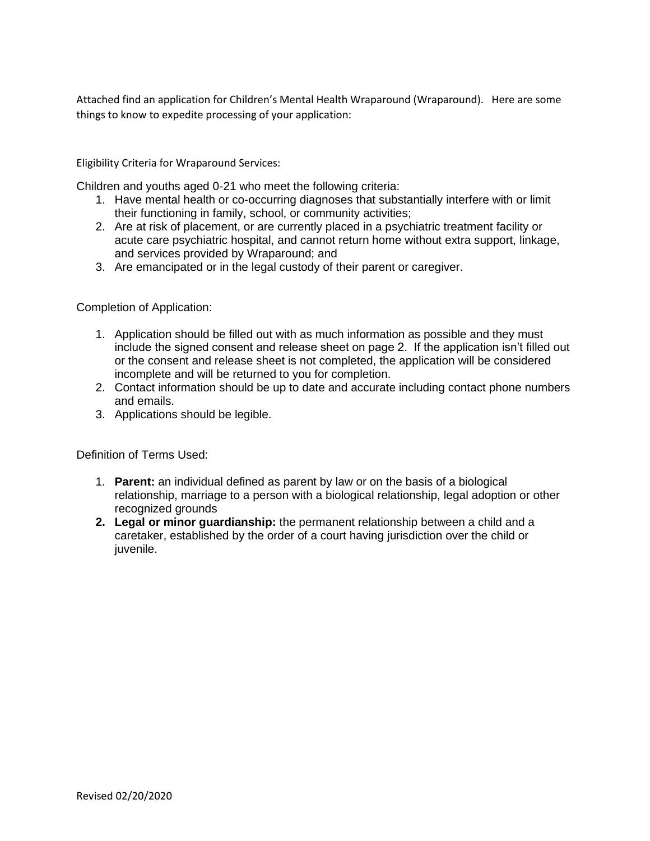Attached find an application for Children's Mental Health Wraparound (Wraparound). Here are some things to know to expedite processing of your application:

Eligibility Criteria for Wraparound Services:

Children and youths aged 0-21 who meet the following criteria:

- 1. Have mental health or co-occurring diagnoses that substantially interfere with or limit their functioning in family, school, or community activities;
- 2. Are at risk of placement, or are currently placed in a psychiatric treatment facility or acute care psychiatric hospital, and cannot return home without extra support, linkage, and services provided by Wraparound; and
- 3. Are emancipated or in the legal custody of their parent or caregiver.

Completion of Application:

- 1. Application should be filled out with as much information as possible and they must include the signed consent and release sheet on page 2. If the application isn't filled out or the consent and release sheet is not completed, the application will be considered incomplete and will be returned to you for completion.
- 2. Contact information should be up to date and accurate including contact phone numbers and emails.
- 3. Applications should be legible.

Definition of Terms Used:

- 1. **Parent:** an individual defined as parent by law or on the basis of a biological relationship, marriage to a person with a biological relationship, legal adoption or other recognized grounds
- **2. Legal or minor guardianship:** the permanent relationship between a child and a caretaker, established by the order of a court having jurisdiction over the child or juvenile.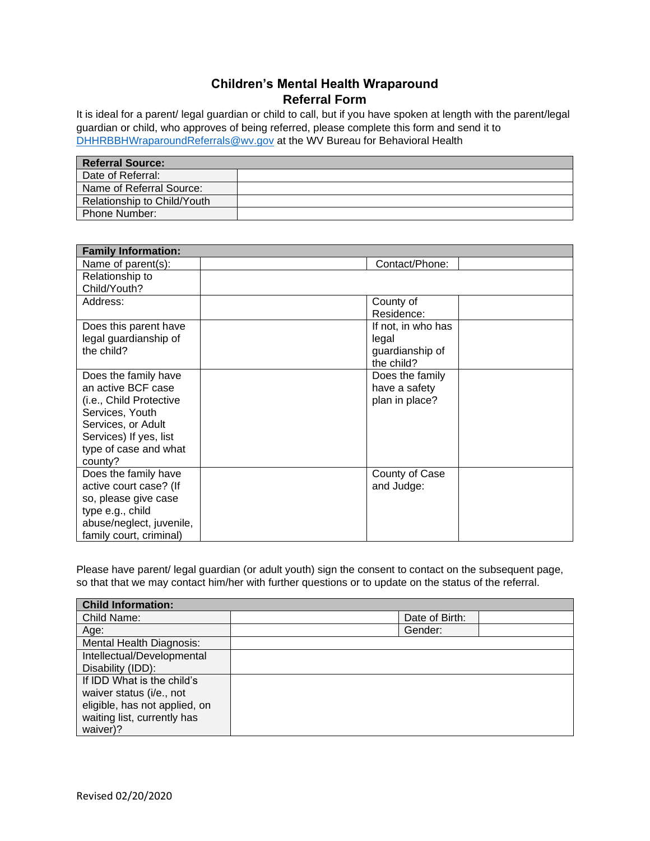## **Children's Mental Health Wraparound Referral Form**

It is ideal for a parent/ legal guardian or child to call, but if you have spoken at length with the parent/legal guardian or child, who approves of being referred, please complete this form and send it to [DHHRBBHWraparoundReferrals@wv.gov](mailto:DHHRBBHWraparoundReferrals@wv.gov) at the WV Bureau for Behavioral Health

| <b>Referral Source:</b>     |  |
|-----------------------------|--|
| Date of Referral:           |  |
| Name of Referral Source:    |  |
| Relationship to Child/Youth |  |
| <b>Phone Number:</b>        |  |

| <b>Family Information:</b>                   |                    |  |
|----------------------------------------------|--------------------|--|
| Name of parent(s):                           | Contact/Phone:     |  |
| Relationship to                              |                    |  |
| Child/Youth?                                 |                    |  |
| Address:                                     | County of          |  |
|                                              | Residence:         |  |
| Does this parent have                        | If not, in who has |  |
| legal guardianship of                        | legal              |  |
| the child?                                   | guardianship of    |  |
|                                              | the child?         |  |
| Does the family have                         | Does the family    |  |
| an active BCF case                           | have a safety      |  |
| (i.e., Child Protective                      | plan in place?     |  |
| Services, Youth                              |                    |  |
| Services, or Adult                           |                    |  |
| Services) If yes, list                       |                    |  |
| type of case and what                        |                    |  |
| county?                                      |                    |  |
| Does the family have                         | County of Case     |  |
| active court case? (If                       | and Judge:         |  |
| so, please give case                         |                    |  |
| type e.g., child<br>abuse/neglect, juvenile, |                    |  |
| family court, criminal)                      |                    |  |
|                                              |                    |  |

Please have parent/ legal guardian (or adult youth) sign the consent to contact on the subsequent page, so that that we may contact him/her with further questions or to update on the status of the referral.

| <b>Child Information:</b>       |                |  |
|---------------------------------|----------------|--|
| Child Name:                     | Date of Birth: |  |
| Age:                            | Gender:        |  |
| <b>Mental Health Diagnosis:</b> |                |  |
| Intellectual/Developmental      |                |  |
| Disability (IDD):               |                |  |
| If IDD What is the child's      |                |  |
| waiver status (i/e., not        |                |  |
| eligible, has not applied, on   |                |  |
| waiting list, currently has     |                |  |
| waiver)?                        |                |  |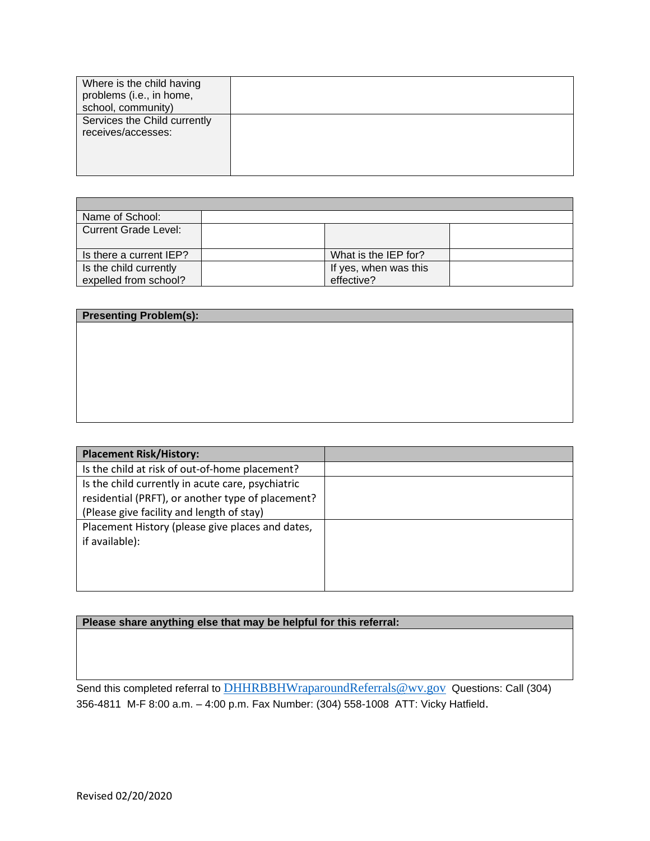| Name of School:         |                       |  |
|-------------------------|-----------------------|--|
| Current Grade Level:    |                       |  |
|                         |                       |  |
| Is there a current IEP? | What is the IEP for?  |  |
| Is the child currently  | If yes, when was this |  |
| expelled from school?   | effective?            |  |

| <b>Presenting Problem(s):</b> |  |  |
|-------------------------------|--|--|
|                               |  |  |
|                               |  |  |
|                               |  |  |
|                               |  |  |
|                               |  |  |
|                               |  |  |
|                               |  |  |

| <b>Placement Risk/History:</b>                                                                                                                      |  |
|-----------------------------------------------------------------------------------------------------------------------------------------------------|--|
| Is the child at risk of out-of-home placement?                                                                                                      |  |
| Is the child currently in acute care, psychiatric<br>residential (PRFT), or another type of placement?<br>(Please give facility and length of stay) |  |
| Placement History (please give places and dates,<br>if available):                                                                                  |  |

## **Please share anything else that may be helpful for this referral:**

Send this completed referral to **[DHHRBBHWraparoundReferrals@wv.gov](mailto:DHHRBBHWraparoundReferrals@wv.gov)** Questions: Call (304) 356-4811 M-F 8:00 a.m. – 4:00 p.m. Fax Number: (304) 558-1008 ATT: Vicky Hatfield.